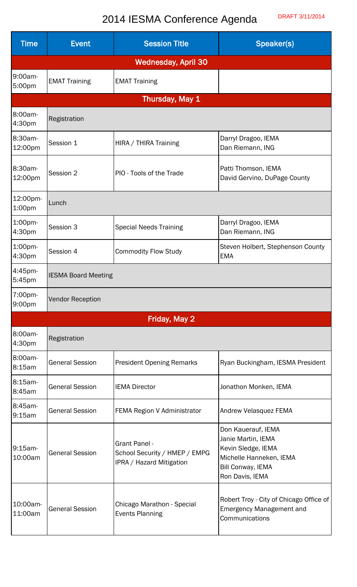## 2014 IESMA Conference Agenda DRAFT 3/11/2014

| <b>Time</b>                | <b>Event</b>               | <b>Session Title</b>                                                              | Speaker(s)                                                                                                                        |  |  |
|----------------------------|----------------------------|-----------------------------------------------------------------------------------|-----------------------------------------------------------------------------------------------------------------------------------|--|--|
| <b>Wednesday, April 30</b> |                            |                                                                                   |                                                                                                                                   |  |  |
| 9:00am-<br>5:00pm          | <b>EMAT Training</b>       | <b>EMAT Training</b>                                                              |                                                                                                                                   |  |  |
| Thursday, May 1            |                            |                                                                                   |                                                                                                                                   |  |  |
| 8:00am-<br>4:30pm          | Registration               |                                                                                   |                                                                                                                                   |  |  |
| 8:30am-<br>12:00pm         | Session 1                  | HIRA / THIRA Training                                                             | Darryl Dragoo, IEMA<br>Dan Riemann, ING                                                                                           |  |  |
| 8:30am-<br>12:00pm         | Session 2                  | PIO - Tools of the Trade                                                          | Patti Thomson, IEMA<br>David Gervino, DuPage County                                                                               |  |  |
| 12:00pm-<br>1:00pm         | Lunch                      |                                                                                   |                                                                                                                                   |  |  |
| 1:00pm-<br>4:30pm          | Session 3                  | <b>Special Needs Training</b>                                                     | Darryl Dragoo, IEMA<br>Dan Riemann, ING                                                                                           |  |  |
| 1:00pm-<br>4:30pm          | Session 4                  | <b>Commodity Flow Study</b>                                                       | Steven Holbert, Stephenson County<br><b>EMA</b>                                                                                   |  |  |
| 4:45pm-<br>5:45pm          | <b>IESMA Board Meeting</b> |                                                                                   |                                                                                                                                   |  |  |
| 7:00pm-<br>9:00pm          | <b>Vendor Reception</b>    |                                                                                   |                                                                                                                                   |  |  |
| Friday, May 2              |                            |                                                                                   |                                                                                                                                   |  |  |
| 8:00am-<br>4:30pm          | Registration               |                                                                                   |                                                                                                                                   |  |  |
| 8:00am-<br>8:15am          | <b>General Session</b>     | <b>President Opening Remarks</b>                                                  | Ryan Buckingham, IESMA President                                                                                                  |  |  |
| 8:15am-<br>8:45am          | <b>General Session</b>     | <b>IEMA Director</b>                                                              | Jonathon Monken, IEMA                                                                                                             |  |  |
| 8:45am-<br>9:15am          | <b>General Session</b>     | FEMA Region V Administrator                                                       | Andrew Velasquez FEMA                                                                                                             |  |  |
| 9:15am-<br>10:00am         | <b>General Session</b>     | <b>Grant Panel -</b><br>School Security / HMEP / EMPG<br>IPRA / Hazard Mitigation | Don Kauerauf, IEMA<br>Janie Martin, IEMA<br>Kevin Sledge, IEMA<br>Michelle Hanneken, IEMA<br>Bill Conway, IEMA<br>Ron Davis, IEMA |  |  |
| 10:00am-<br>11:00am        | <b>General Session</b>     | Chicago Marathon - Special<br><b>Events Planning</b>                              | Robert Troy - City of Chicago Office of<br><b>Emergency Management and</b><br>Communications                                      |  |  |